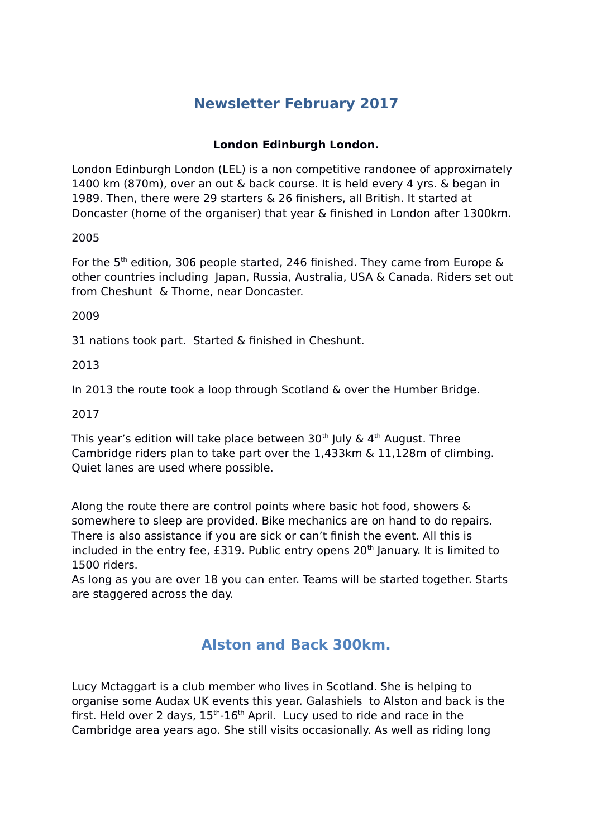# **Newsletter February 2017**

## **London Edinburgh London.**

London Edinburgh London (LEL) is a non competitive randonee of approximately 1400 km (870m), over an out & back course. It is held every 4 yrs. & began in 1989. Then, there were 29 starters & 26 finishers, all British. It started at Doncaster (home of the organiser) that year & finished in London after 1300km.

## 2005

For the 5<sup>th</sup> edition, 306 people started, 246 finished. They came from Europe  $\&$ other countries including Japan, Russia, Australia, USA & Canada. Riders set out from Cheshunt & Thorne, near Doncaster.

#### 2009

31 nations took part. Started & finished in Cheshunt.

### 2013

In 2013 the route took a loop through Scotland & over the Humber Bridge.

### 2017

This year's edition will take place between 30<sup>th</sup> July &  $4<sup>th</sup>$  August. Three Cambridge riders plan to take part over the 1,433km & 11,128m of climbing. Quiet lanes are used where possible.

Along the route there are control points where basic hot food, showers & somewhere to sleep are provided. Bike mechanics are on hand to do repairs. There is also assistance if you are sick or can't finish the event. All this is included in the entry fee,  $E319$ . Public entry opens  $20<sup>th</sup>$  January. It is limited to 1500 riders.

As long as you are over 18 you can enter. Teams will be started together. Starts are staggered across the day.

## **Alston and Back 300km.**

Lucy Mctaggart is a club member who lives in Scotland. She is helping to organise some Audax UK events this year. Galashiels to Alston and back is the first. Held over 2 days,  $15<sup>th</sup>$ -16<sup>th</sup> April. Lucy used to ride and race in the Cambridge area years ago. She still visits occasionally. As well as riding long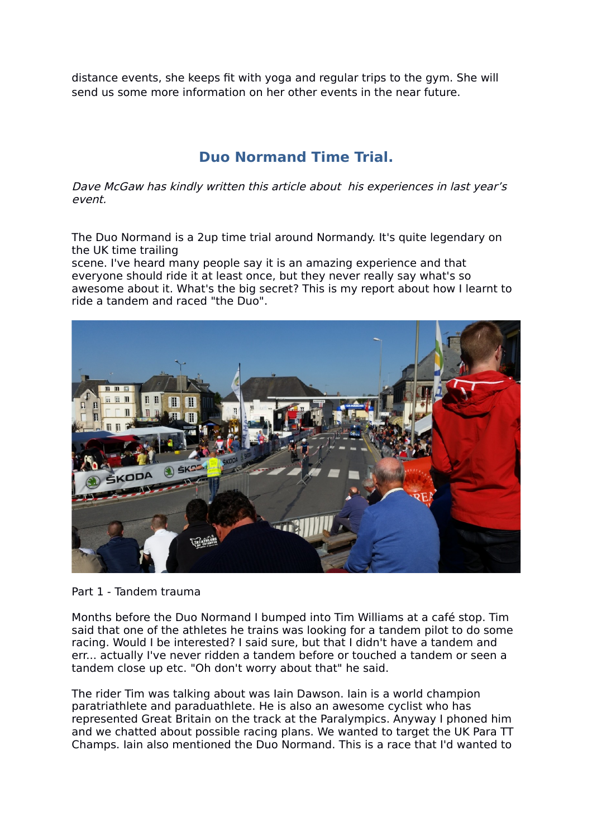distance events, she keeps fit with yoga and regular trips to the gym. She will send us some more information on her other events in the near future.

## **Duo Normand Time Trial.**

Dave McGaw has kindly written this article about his experiences in last year's event.

The Duo Normand is a 2up time trial around Normandy. It's quite legendary on the UK time trailing

scene. I've heard many people say it is an amazing experience and that everyone should ride it at least once, but they never really say what's so awesome about it. What's the big secret? This is my report about how I learnt to ride a tandem and raced "the Duo".



Part 1 - Tandem trauma

Months before the Duo Normand I bumped into Tim Williams at a café stop. Tim said that one of the athletes he trains was looking for a tandem pilot to do some racing. Would I be interested? I said sure, but that I didn't have a tandem and err... actually I've never ridden a tandem before or touched a tandem or seen a tandem close up etc. "Oh don't worry about that" he said.

The rider Tim was talking about was Iain Dawson. Iain is a world champion paratriathlete and paraduathlete. He is also an awesome cyclist who has represented Great Britain on the track at the Paralympics. Anyway I phoned him and we chatted about possible racing plans. We wanted to target the UK Para TT Champs. Iain also mentioned the Duo Normand. This is a race that I'd wanted to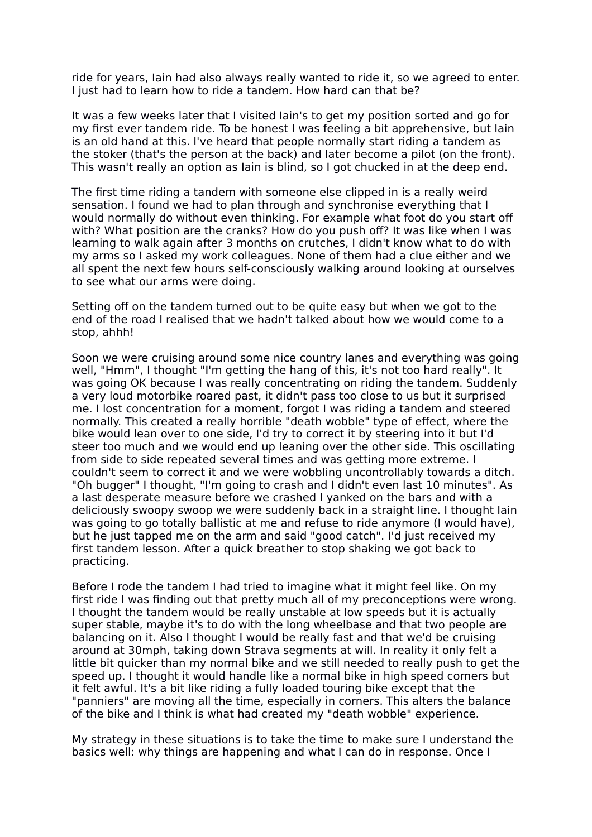ride for years, Iain had also always really wanted to ride it, so we agreed to enter. I just had to learn how to ride a tandem. How hard can that be?

It was a few weeks later that I visited Iain's to get my position sorted and go for my first ever tandem ride. To be honest I was feeling a bit apprehensive, but Iain is an old hand at this. I've heard that people normally start riding a tandem as the stoker (that's the person at the back) and later become a pilot (on the front). This wasn't really an option as Iain is blind, so I got chucked in at the deep end.

The first time riding a tandem with someone else clipped in is a really weird sensation. I found we had to plan through and synchronise everything that I would normally do without even thinking. For example what foot do you start off with? What position are the cranks? How do you push off? It was like when I was learning to walk again after 3 months on crutches, I didn't know what to do with my arms so I asked my work colleagues. None of them had a clue either and we all spent the next few hours self-consciously walking around looking at ourselves to see what our arms were doing.

Setting off on the tandem turned out to be quite easy but when we got to the end of the road I realised that we hadn't talked about how we would come to a stop, ahhh!

Soon we were cruising around some nice country lanes and everything was going well, "Hmm", I thought "I'm getting the hang of this, it's not too hard really". It was going OK because I was really concentrating on riding the tandem. Suddenly a very loud motorbike roared past, it didn't pass too close to us but it surprised me. I lost concentration for a moment, forgot I was riding a tandem and steered normally. This created a really horrible "death wobble" type of effect, where the bike would lean over to one side, I'd try to correct it by steering into it but I'd steer too much and we would end up leaning over the other side. This oscillating from side to side repeated several times and was getting more extreme. I couldn't seem to correct it and we were wobbling uncontrollably towards a ditch. "Oh bugger" I thought, "I'm going to crash and I didn't even last 10 minutes". As a last desperate measure before we crashed I yanked on the bars and with a deliciously swoopy swoop we were suddenly back in a straight line. I thought Iain was going to go totally ballistic at me and refuse to ride anymore (I would have), but he just tapped me on the arm and said "good catch". I'd just received my first tandem lesson. After a quick breather to stop shaking we got back to practicing.

Before I rode the tandem I had tried to imagine what it might feel like. On my first ride I was finding out that pretty much all of my preconceptions were wrong. I thought the tandem would be really unstable at low speeds but it is actually super stable, maybe it's to do with the long wheelbase and that two people are balancing on it. Also I thought I would be really fast and that we'd be cruising around at 30mph, taking down Strava segments at will. In reality it only felt a little bit quicker than my normal bike and we still needed to really push to get the speed up. I thought it would handle like a normal bike in high speed corners but it felt awful. It's a bit like riding a fully loaded touring bike except that the "panniers" are moving all the time, especially in corners. This alters the balance of the bike and I think is what had created my "death wobble" experience.

My strategy in these situations is to take the time to make sure I understand the basics well: why things are happening and what I can do in response. Once I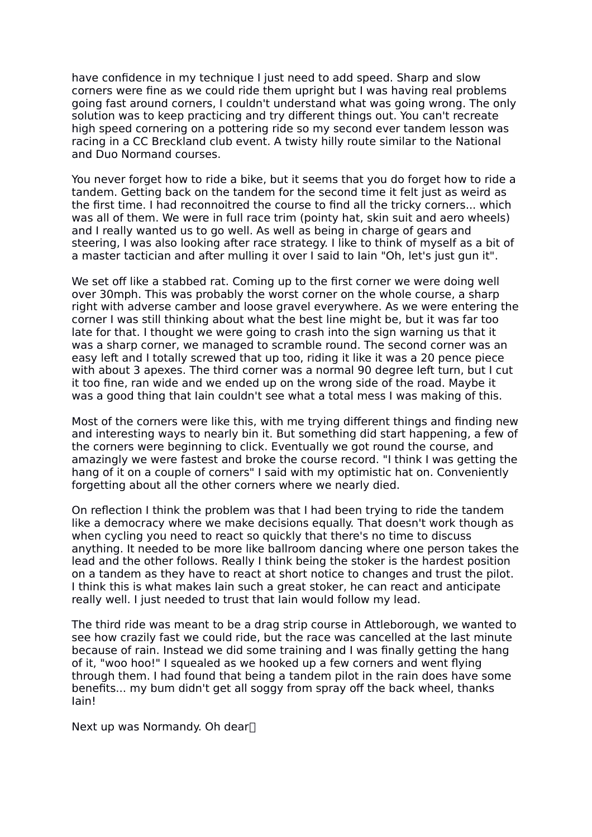have confidence in my technique I just need to add speed. Sharp and slow corners were fine as we could ride them upright but I was having real problems going fast around corners, I couldn't understand what was going wrong. The only solution was to keep practicing and try different things out. You can't recreate high speed cornering on a pottering ride so my second ever tandem lesson was racing in a CC Breckland club event. A twisty hilly route similar to the National and Duo Normand courses.

You never forget how to ride a bike, but it seems that you do forget how to ride a tandem. Getting back on the tandem for the second time it felt just as weird as the first time. I had reconnoitred the course to find all the tricky corners... which was all of them. We were in full race trim (pointy hat, skin suit and aero wheels) and I really wanted us to go well. As well as being in charge of gears and steering, I was also looking after race strategy. I like to think of myself as a bit of a master tactician and after mulling it over I said to Iain "Oh, let's just gun it".

We set off like a stabbed rat. Coming up to the first corner we were doing well over 30mph. This was probably the worst corner on the whole course, a sharp right with adverse camber and loose gravel everywhere. As we were entering the corner I was still thinking about what the best line might be, but it was far too late for that. I thought we were going to crash into the sign warning us that it was a sharp corner, we managed to scramble round. The second corner was an easy left and I totally screwed that up too, riding it like it was a 20 pence piece with about 3 apexes. The third corner was a normal 90 degree left turn, but I cut it too fine, ran wide and we ended up on the wrong side of the road. Maybe it was a good thing that Iain couldn't see what a total mess I was making of this.

Most of the corners were like this, with me trying different things and finding new and interesting ways to nearly bin it. But something did start happening, a few of the corners were beginning to click. Eventually we got round the course, and amazingly we were fastest and broke the course record. "I think I was getting the hang of it on a couple of corners" I said with my optimistic hat on. Conveniently forgetting about all the other corners where we nearly died.

On reflection I think the problem was that I had been trying to ride the tandem like a democracy where we make decisions equally. That doesn't work though as when cycling you need to react so quickly that there's no time to discuss anything. It needed to be more like ballroom dancing where one person takes the lead and the other follows. Really I think being the stoker is the hardest position on a tandem as they have to react at short notice to changes and trust the pilot. I think this is what makes Iain such a great stoker, he can react and anticipate really well. I just needed to trust that Iain would follow my lead.

The third ride was meant to be a drag strip course in Attleborough, we wanted to see how crazily fast we could ride, but the race was cancelled at the last minute because of rain. Instead we did some training and I was finally getting the hang of it, "woo hoo!" I squealed as we hooked up a few corners and went flying through them. I had found that being a tandem pilot in the rain does have some benefits... my bum didn't get all soggy from spray off the back wheel, thanks Iain!

Next up was Normandy. Oh dear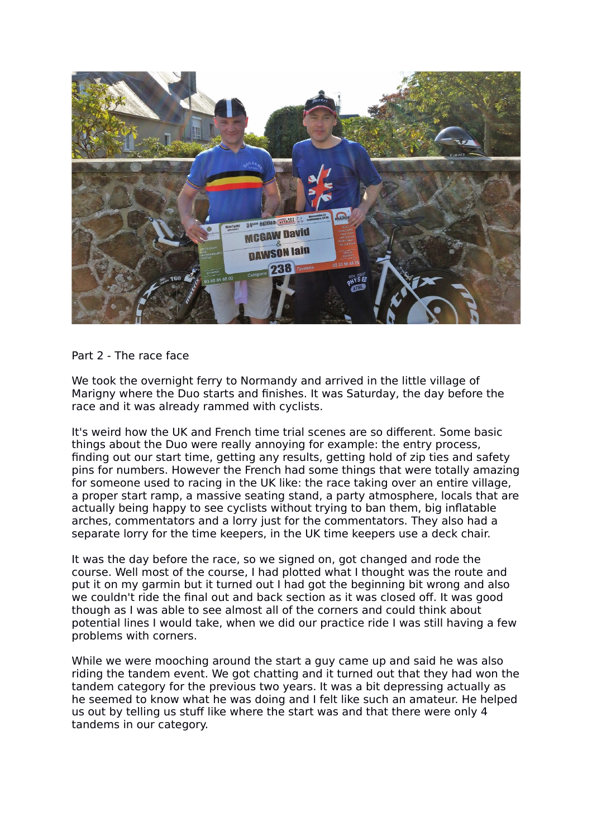

Part 2 - The race face

We took the overnight ferry to Normandy and arrived in the little village of Marigny where the Duo starts and finishes. It was Saturday, the day before the race and it was already rammed with cyclists.

It's weird how the UK and French time trial scenes are so different. Some basic things about the Duo were really annoying for example: the entry process, finding out our start time, getting any results, getting hold of zip ties and safety pins for numbers. However the French had some things that were totally amazing for someone used to racing in the UK like: the race taking over an entire village, a proper start ramp, a massive seating stand, a party atmosphere, locals that are actually being happy to see cyclists without trying to ban them, big inflatable arches, commentators and a lorry just for the commentators. They also had a separate lorry for the time keepers, in the UK time keepers use a deck chair.

It was the day before the race, so we signed on, got changed and rode the course. Well most of the course, I had plotted what I thought was the route and put it on my garmin but it turned out I had got the beginning bit wrong and also we couldn't ride the final out and back section as it was closed off. It was good though as I was able to see almost all of the corners and could think about potential lines I would take, when we did our practice ride I was still having a few problems with corners.

While we were mooching around the start a guy came up and said he was also riding the tandem event. We got chatting and it turned out that they had won the tandem category for the previous two years. It was a bit depressing actually as he seemed to know what he was doing and I felt like such an amateur. He helped us out by telling us stuff like where the start was and that there were only 4 tandems in our category.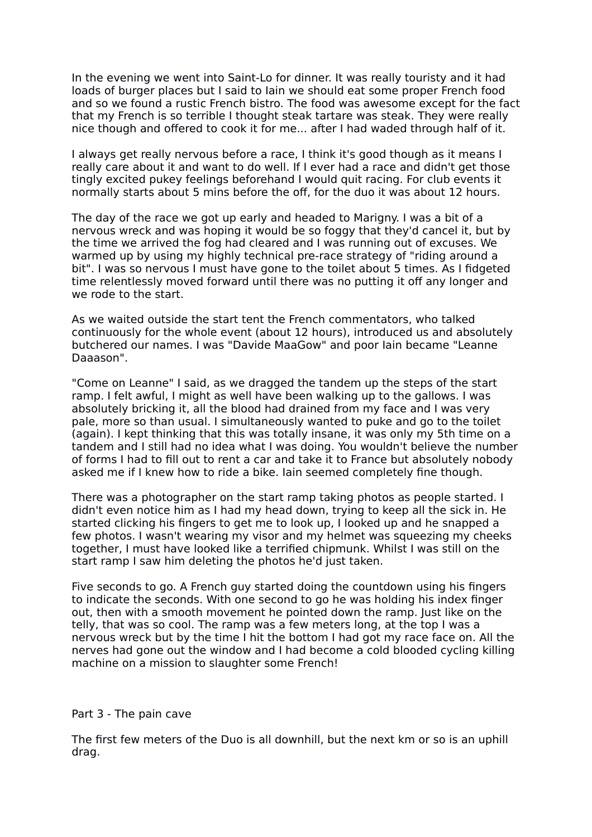In the evening we went into Saint-Lo for dinner. It was really touristy and it had loads of burger places but I said to Iain we should eat some proper French food and so we found a rustic French bistro. The food was awesome except for the fact that my French is so terrible I thought steak tartare was steak. They were really nice though and offered to cook it for me... after I had waded through half of it.

I always get really nervous before a race, I think it's good though as it means I really care about it and want to do well. If I ever had a race and didn't get those tingly excited pukey feelings beforehand I would quit racing. For club events it normally starts about 5 mins before the off, for the duo it was about 12 hours.

The day of the race we got up early and headed to Marigny. I was a bit of a nervous wreck and was hoping it would be so foggy that they'd cancel it, but by the time we arrived the fog had cleared and I was running out of excuses. We warmed up by using my highly technical pre-race strategy of "riding around a bit". I was so nervous I must have gone to the toilet about 5 times. As I fidgeted time relentlessly moved forward until there was no putting it off any longer and we rode to the start.

As we waited outside the start tent the French commentators, who talked continuously for the whole event (about 12 hours), introduced us and absolutely butchered our names. I was "Davide MaaGow" and poor Iain became "Leanne Daaason".

"Come on Leanne" I said, as we dragged the tandem up the steps of the start ramp. I felt awful, I might as well have been walking up to the gallows. I was absolutely bricking it, all the blood had drained from my face and I was very pale, more so than usual. I simultaneously wanted to puke and go to the toilet (again). I kept thinking that this was totally insane, it was only my 5th time on a tandem and I still had no idea what I was doing. You wouldn't believe the number of forms I had to fill out to rent a car and take it to France but absolutely nobody asked me if I knew how to ride a bike. Iain seemed completely fine though.

There was a photographer on the start ramp taking photos as people started. I didn't even notice him as I had my head down, trying to keep all the sick in. He started clicking his fingers to get me to look up, I looked up and he snapped a few photos. I wasn't wearing my visor and my helmet was squeezing my cheeks together, I must have looked like a terrified chipmunk. Whilst I was still on the start ramp I saw him deleting the photos he'd just taken.

Five seconds to go. A French guy started doing the countdown using his fingers to indicate the seconds. With one second to go he was holding his index finger out, then with a smooth movement he pointed down the ramp. Just like on the telly, that was so cool. The ramp was a few meters long, at the top I was a nervous wreck but by the time I hit the bottom I had got my race face on. All the nerves had gone out the window and I had become a cold blooded cycling killing machine on a mission to slaughter some French!

#### Part 3 - The pain cave

The first few meters of the Duo is all downhill, but the next km or so is an uphill drag.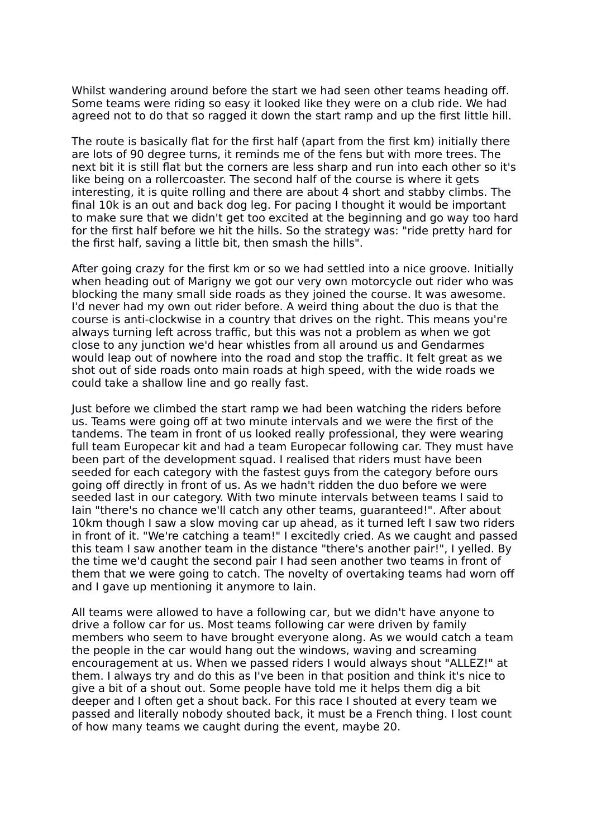Whilst wandering around before the start we had seen other teams heading off. Some teams were riding so easy it looked like they were on a club ride. We had agreed not to do that so ragged it down the start ramp and up the first little hill.

The route is basically flat for the first half (apart from the first km) initially there are lots of 90 degree turns, it reminds me of the fens but with more trees. The next bit it is still flat but the corners are less sharp and run into each other so it's like being on a rollercoaster. The second half of the course is where it gets interesting, it is quite rolling and there are about 4 short and stabby climbs. The final 10k is an out and back dog leg. For pacing I thought it would be important to make sure that we didn't get too excited at the beginning and go way too hard for the first half before we hit the hills. So the strategy was: "ride pretty hard for the first half, saving a little bit, then smash the hills".

After going crazy for the first km or so we had settled into a nice groove. Initially when heading out of Marigny we got our very own motorcycle out rider who was blocking the many small side roads as they joined the course. It was awesome. I'd never had my own out rider before. A weird thing about the duo is that the course is anti-clockwise in a country that drives on the right. This means you're always turning left across traffic, but this was not a problem as when we got close to any junction we'd hear whistles from all around us and Gendarmes would leap out of nowhere into the road and stop the traffic. It felt great as we shot out of side roads onto main roads at high speed, with the wide roads we could take a shallow line and go really fast.

Just before we climbed the start ramp we had been watching the riders before us. Teams were going off at two minute intervals and we were the first of the tandems. The team in front of us looked really professional, they were wearing full team Europecar kit and had a team Europecar following car. They must have been part of the development squad. I realised that riders must have been seeded for each category with the fastest guys from the category before ours going off directly in front of us. As we hadn't ridden the duo before we were seeded last in our category. With two minute intervals between teams I said to Iain "there's no chance we'll catch any other teams, guaranteed!". After about 10km though I saw a slow moving car up ahead, as it turned left I saw two riders in front of it. "We're catching a team!" I excitedly cried. As we caught and passed this team I saw another team in the distance "there's another pair!", I yelled. By the time we'd caught the second pair I had seen another two teams in front of them that we were going to catch. The novelty of overtaking teams had worn off and I gave up mentioning it anymore to Iain.

All teams were allowed to have a following car, but we didn't have anyone to drive a follow car for us. Most teams following car were driven by family members who seem to have brought everyone along. As we would catch a team the people in the car would hang out the windows, waving and screaming encouragement at us. When we passed riders I would always shout "ALLEZ!" at them. I always try and do this as I've been in that position and think it's nice to give a bit of a shout out. Some people have told me it helps them dig a bit deeper and I often get a shout back. For this race I shouted at every team we passed and literally nobody shouted back, it must be a French thing. I lost count of how many teams we caught during the event, maybe 20.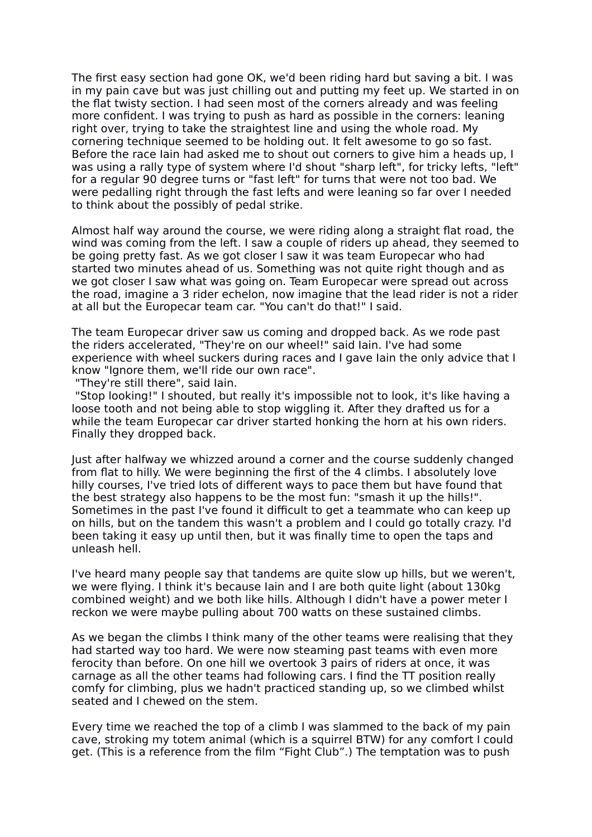The first easy section had gone OK, we'd been riding hard but saving a bit. I was in my pain cave but was just chilling out and putting my feet up. We started in on the flat twisty section. I had seen most of the corners already and was feeling more confident. I was trying to push as hard as possible in the corners: leaning right over, trying to take the straightest line and using the whole road. My cornering technique seemed to be holding out. It felt awesome to go so fast. Before the race Iain had asked me to shout out corners to give him a heads up, I was using a rally type of system where I'd shout "sharp left", for tricky lefts, "left" for a regular 90 degree turns or "fast left" for turns that were not too bad. We were pedalling right through the fast lefts and were leaning so far over I needed to think about the possibly of pedal strike.

Almost half way around the course, we were riding along a straight flat road, the wind was coming from the left. I saw a couple of riders up ahead, they seemed to be going pretty fast. As we got closer I saw it was team Europecar who had started two minutes ahead of us. Something was not quite right though and as we got closer I saw what was going on. Team Europecar were spread out across the road, imagine a 3 rider echelon, now imagine that the lead rider is not a rider at all but the Europecar team car. "You can't do that!" I said.

The team Europecar driver saw us coming and dropped back. As we rode past the riders accelerated, "They're on our wheel!" said Iain. I've had some experience with wheel suckers during races and I gave Iain the only advice that I know "Ignore them, we'll ride our own race".

"They're still there", said Iain.

 "Stop looking!" I shouted, but really it's impossible not to look, it's like having a loose tooth and not being able to stop wiggling it. After they drafted us for a while the team Europecar car driver started honking the horn at his own riders. Finally they dropped back.

Just after halfway we whizzed around a corner and the course suddenly changed from flat to hilly. We were beginning the first of the 4 climbs. I absolutely love hilly courses, I've tried lots of different ways to pace them but have found that the best strategy also happens to be the most fun: "smash it up the hills!". Sometimes in the past I've found it difficult to get a teammate who can keep up on hills, but on the tandem this wasn't a problem and I could go totally crazy. I'd been taking it easy up until then, but it was finally time to open the taps and unleash hell.

I've heard many people say that tandems are quite slow up hills, but we weren't, we were flying. I think it's because Iain and I are both quite light (about 130kg combined weight) and we both like hills. Although I didn't have a power meter I reckon we were maybe pulling about 700 watts on these sustained climbs.

As we began the climbs I think many of the other teams were realising that they had started way too hard. We were now steaming past teams with even more ferocity than before. On one hill we overtook 3 pairs of riders at once, it was carnage as all the other teams had following cars. I find the TT position really comfy for climbing, plus we hadn't practiced standing up, so we climbed whilst seated and I chewed on the stem.

Every time we reached the top of a climb I was slammed to the back of my pain cave, stroking my totem animal (which is a squirrel BTW) for any comfort I could get. (This is a reference from the film "Fight Club".) The temptation was to push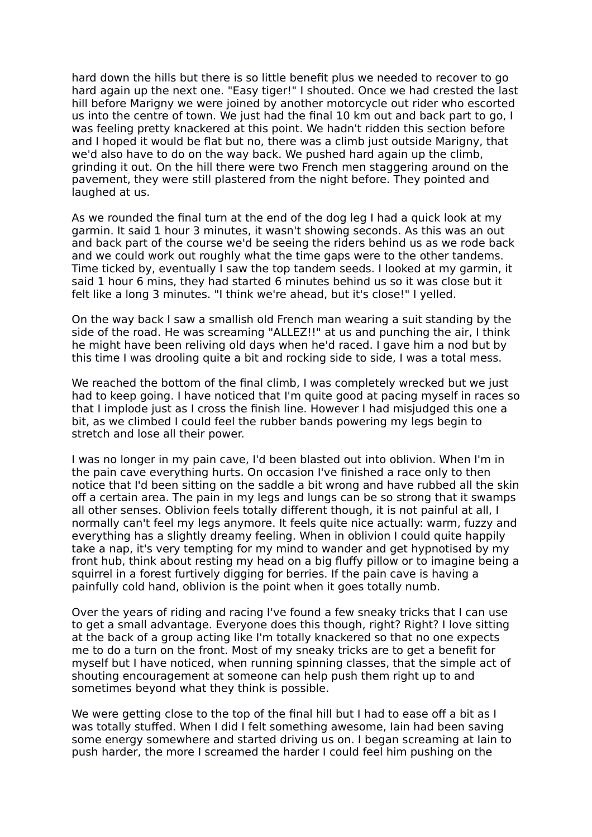hard down the hills but there is so little benefit plus we needed to recover to go hard again up the next one. "Easy tiger!" I shouted. Once we had crested the last hill before Marigny we were joined by another motorcycle out rider who escorted us into the centre of town. We just had the final 10 km out and back part to go, I was feeling pretty knackered at this point. We hadn't ridden this section before and I hoped it would be flat but no, there was a climb just outside Marigny, that we'd also have to do on the way back. We pushed hard again up the climb, grinding it out. On the hill there were two French men staggering around on the pavement, they were still plastered from the night before. They pointed and laughed at us.

As we rounded the final turn at the end of the dog leg I had a quick look at my garmin. It said 1 hour 3 minutes, it wasn't showing seconds. As this was an out and back part of the course we'd be seeing the riders behind us as we rode back and we could work out roughly what the time gaps were to the other tandems. Time ticked by, eventually I saw the top tandem seeds. I looked at my garmin, it said 1 hour 6 mins, they had started 6 minutes behind us so it was close but it felt like a long 3 minutes. "I think we're ahead, but it's close!" I yelled.

On the way back I saw a smallish old French man wearing a suit standing by the side of the road. He was screaming "ALLEZ!!" at us and punching the air, I think he might have been reliving old days when he'd raced. I gave him a nod but by this time I was drooling quite a bit and rocking side to side, I was a total mess.

We reached the bottom of the final climb, I was completely wrecked but we just had to keep going. I have noticed that I'm quite good at pacing myself in races so that I implode just as I cross the finish line. However I had misjudged this one a bit, as we climbed I could feel the rubber bands powering my legs begin to stretch and lose all their power.

I was no longer in my pain cave, I'd been blasted out into oblivion. When I'm in the pain cave everything hurts. On occasion I've finished a race only to then notice that I'd been sitting on the saddle a bit wrong and have rubbed all the skin off a certain area. The pain in my legs and lungs can be so strong that it swamps all other senses. Oblivion feels totally different though, it is not painful at all, I normally can't feel my legs anymore. It feels quite nice actually: warm, fuzzy and everything has a slightly dreamy feeling. When in oblivion I could quite happily take a nap, it's very tempting for my mind to wander and get hypnotised by my front hub, think about resting my head on a big fluffy pillow or to imagine being a squirrel in a forest furtively digging for berries. If the pain cave is having a painfully cold hand, oblivion is the point when it goes totally numb.

Over the years of riding and racing I've found a few sneaky tricks that I can use to get a small advantage. Everyone does this though, right? Right? I love sitting at the back of a group acting like I'm totally knackered so that no one expects me to do a turn on the front. Most of my sneaky tricks are to get a benefit for myself but I have noticed, when running spinning classes, that the simple act of shouting encouragement at someone can help push them right up to and sometimes beyond what they think is possible.

We were getting close to the top of the final hill but I had to ease off a bit as I was totally stuffed. When I did I felt something awesome, Iain had been saving some energy somewhere and started driving us on. I began screaming at Iain to push harder, the more I screamed the harder I could feel him pushing on the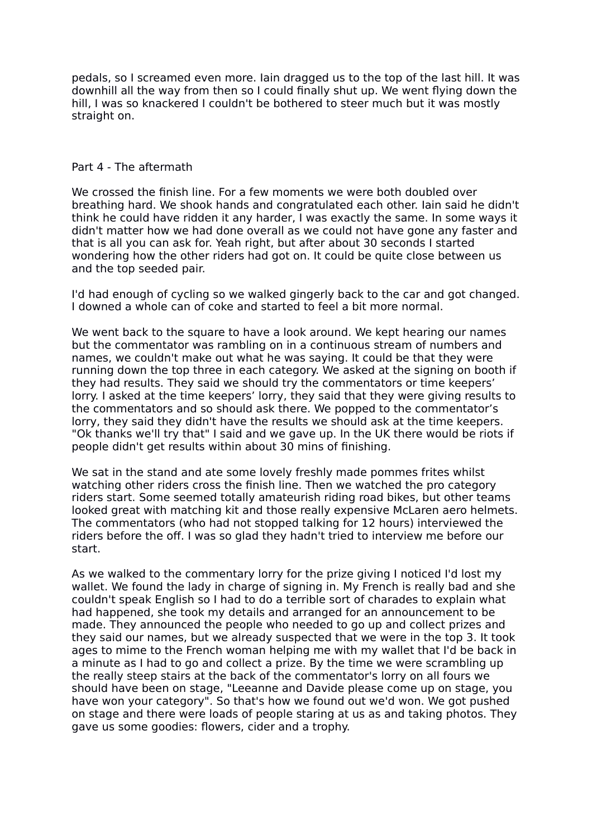pedals, so I screamed even more. Iain dragged us to the top of the last hill. It was downhill all the way from then so I could finally shut up. We went flying down the hill, I was so knackered I couldn't be bothered to steer much but it was mostly straight on.

#### Part 4 - The aftermath

We crossed the finish line. For a few moments we were both doubled over breathing hard. We shook hands and congratulated each other. Iain said he didn't think he could have ridden it any harder, I was exactly the same. In some ways it didn't matter how we had done overall as we could not have gone any faster and that is all you can ask for. Yeah right, but after about 30 seconds I started wondering how the other riders had got on. It could be quite close between us and the top seeded pair.

I'd had enough of cycling so we walked gingerly back to the car and got changed. I downed a whole can of coke and started to feel a bit more normal.

We went back to the square to have a look around. We kept hearing our names but the commentator was rambling on in a continuous stream of numbers and names, we couldn't make out what he was saying. It could be that they were running down the top three in each category. We asked at the signing on booth if they had results. They said we should try the commentators or time keepers' lorry. I asked at the time keepers' lorry, they said that they were giving results to the commentators and so should ask there. We popped to the commentator's lorry, they said they didn't have the results we should ask at the time keepers. "Ok thanks we'll try that" I said and we gave up. In the UK there would be riots if people didn't get results within about 30 mins of finishing.

We sat in the stand and ate some lovely freshly made pommes frites whilst watching other riders cross the finish line. Then we watched the pro category riders start. Some seemed totally amateurish riding road bikes, but other teams looked great with matching kit and those really expensive McLaren aero helmets. The commentators (who had not stopped talking for 12 hours) interviewed the riders before the off. I was so glad they hadn't tried to interview me before our start.

As we walked to the commentary lorry for the prize giving I noticed I'd lost my wallet. We found the lady in charge of signing in. My French is really bad and she couldn't speak English so I had to do a terrible sort of charades to explain what had happened, she took my details and arranged for an announcement to be made. They announced the people who needed to go up and collect prizes and they said our names, but we already suspected that we were in the top 3. It took ages to mime to the French woman helping me with my wallet that I'd be back in a minute as I had to go and collect a prize. By the time we were scrambling up the really steep stairs at the back of the commentator's lorry on all fours we should have been on stage, "Leeanne and Davide please come up on stage, you have won your category". So that's how we found out we'd won. We got pushed on stage and there were loads of people staring at us as and taking photos. They gave us some goodies: flowers, cider and a trophy.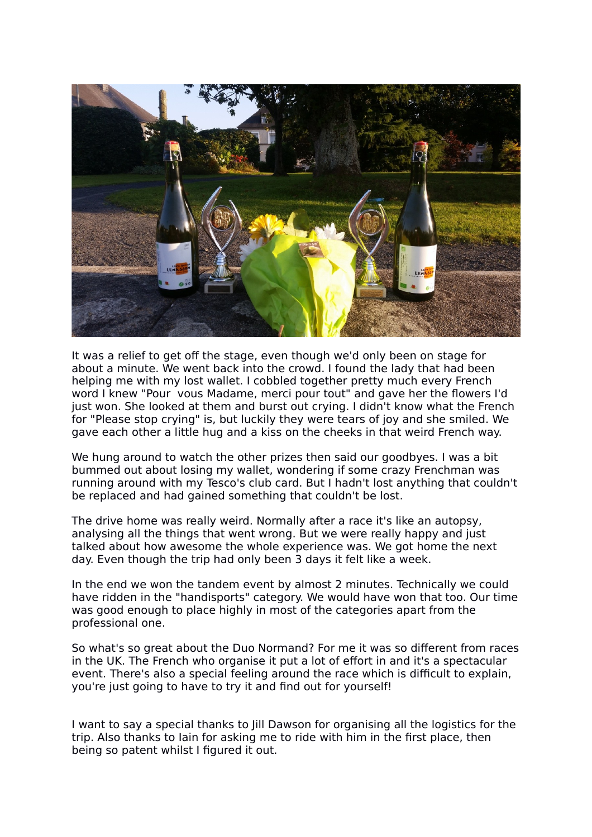

It was a relief to get off the stage, even though we'd only been on stage for about a minute. We went back into the crowd. I found the lady that had been helping me with my lost wallet. I cobbled together pretty much every French word I knew "Pour vous Madame, merci pour tout" and gave her the flowers I'd just won. She looked at them and burst out crying. I didn't know what the French for "Please stop crying" is, but luckily they were tears of joy and she smiled. We gave each other a little hug and a kiss on the cheeks in that weird French way.

We hung around to watch the other prizes then said our goodbyes. I was a bit bummed out about losing my wallet, wondering if some crazy Frenchman was running around with my Tesco's club card. But I hadn't lost anything that couldn't be replaced and had gained something that couldn't be lost.

The drive home was really weird. Normally after a race it's like an autopsy, analysing all the things that went wrong. But we were really happy and just talked about how awesome the whole experience was. We got home the next day. Even though the trip had only been 3 days it felt like a week.

In the end we won the tandem event by almost 2 minutes. Technically we could have ridden in the "handisports" category. We would have won that too. Our time was good enough to place highly in most of the categories apart from the professional one.

So what's so great about the Duo Normand? For me it was so different from races in the UK. The French who organise it put a lot of effort in and it's a spectacular event. There's also a special feeling around the race which is difficult to explain, you're just going to have to try it and find out for yourself!

I want to say a special thanks to Jill Dawson for organising all the logistics for the trip. Also thanks to Iain for asking me to ride with him in the first place, then being so patent whilst I figured it out.